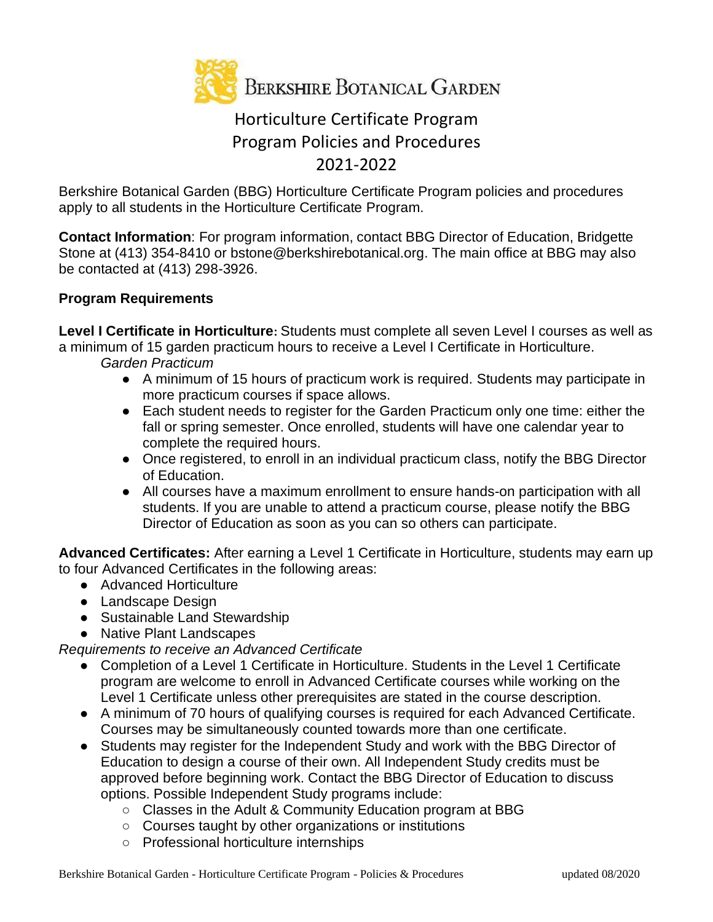

# Horticulture Certificate Program Program Policies and Procedures 2021-2022

Berkshire Botanical Garden (BBG) Horticulture Certificate Program policies and procedures apply to all students in the Horticulture Certificate Program.

**Contact Information**: For program information, contact BBG Director of Education, Bridgette Stone at (413) 354-8410 or bstone@berkshirebotanical.org. The main office at BBG may also be contacted at (413) 298-3926.

# **Program Requirements**

**Level I Certificate in Horticulture:** Students must complete all seven Level I courses as well as a minimum of 15 garden practicum hours to receive a Level I Certificate in Horticulture. *Garden Practicum*

- A minimum of 15 hours of practicum work is required. Students may participate in more practicum courses if space allows.
- Each student needs to register for the Garden Practicum only one time: either the fall or spring semester. Once enrolled, students will have one calendar year to complete the required hours.
- Once registered, to enroll in an individual practicum class, notify the BBG Director of Education.
- All courses have a maximum enrollment to ensure hands-on participation with all students. If you are unable to attend a practicum course, please notify the BBG Director of Education as soon as you can so others can participate.

**Advanced Certificates:** After earning a Level 1 Certificate in Horticulture, students may earn up to four Advanced Certificates in the following areas:

- Advanced Horticulture
- Landscape Design
- Sustainable Land Stewardship
- Native Plant Landscapes

*Requirements to receive an Advanced Certificate*

- Completion of a Level 1 Certificate in Horticulture. Students in the Level 1 Certificate program are welcome to enroll in Advanced Certificate courses while working on the Level 1 Certificate unless other prerequisites are stated in the course description.
- A minimum of 70 hours of qualifying courses is required for each Advanced Certificate. Courses may be simultaneously counted towards more than one certificate.
- Students may register for the Independent Study and work with the BBG Director of Education to design a course of their own. All Independent Study credits must be approved before beginning work. Contact the BBG Director of Education to discuss options. Possible Independent Study programs include:
	- Classes in the Adult & Community Education program at BBG
	- Courses taught by other organizations or institutions
	- Professional horticulture internships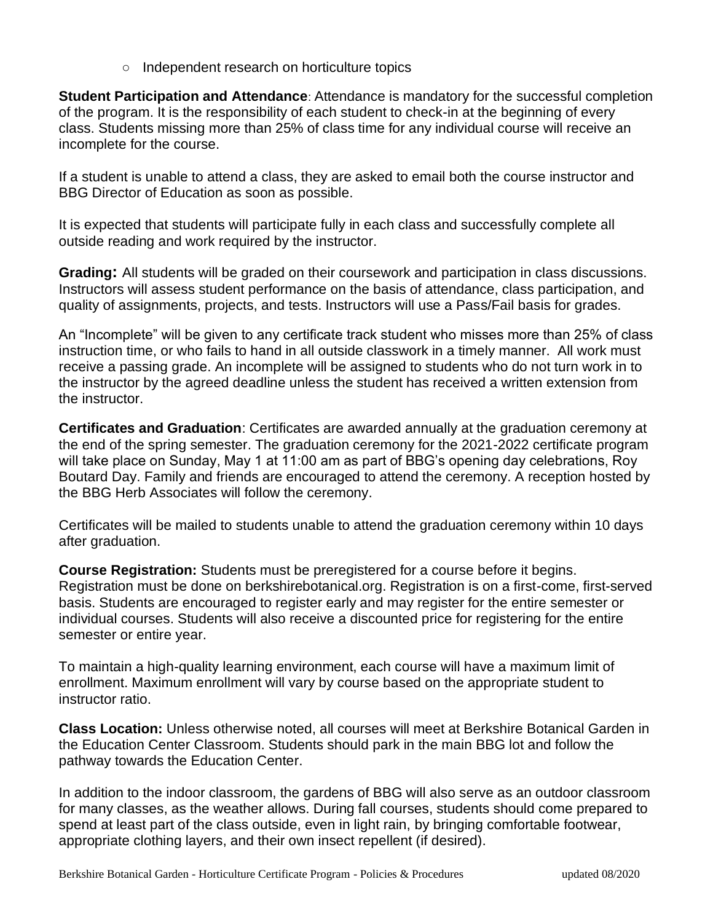○ Independent research on horticulture topics

**Student Participation and Attendance**: Attendance is mandatory for the successful completion of the program. It is the responsibility of each student to check-in at the beginning of every class. Students missing more than 25% of class time for any individual course will receive an incomplete for the course.

If a student is unable to attend a class, they are asked to email both the course instructor and BBG Director of Education as soon as possible.

It is expected that students will participate fully in each class and successfully complete all outside reading and work required by the instructor.

**Grading:** All students will be graded on their coursework and participation in class discussions. Instructors will assess student performance on the basis of attendance, class participation, and quality of assignments, projects, and tests. Instructors will use a Pass/Fail basis for grades.

An "Incomplete" will be given to any certificate track student who misses more than 25% of class instruction time, or who fails to hand in all outside classwork in a timely manner. All work must receive a passing grade. An incomplete will be assigned to students who do not turn work in to the instructor by the agreed deadline unless the student has received a written extension from the instructor.

**Certificates and Graduation**: Certificates are awarded annually at the graduation ceremony at the end of the spring semester. The graduation ceremony for the 2021-2022 certificate program will take place on Sunday, May 1 at 11:00 am as part of BBG's opening day celebrations, Roy Boutard Day. Family and friends are encouraged to attend the ceremony. A reception hosted by the BBG Herb Associates will follow the ceremony.

Certificates will be mailed to students unable to attend the graduation ceremony within 10 days after graduation.

**Course Registration:** Students must be preregistered for a course before it begins. Registration must be done on berkshirebotanical.org. Registration is on a first-come, first-served basis. Students are encouraged to register early and may register for the entire semester or individual courses. Students will also receive a discounted price for registering for the entire semester or entire year.

To maintain a high-quality learning environment, each course will have a maximum limit of enrollment. Maximum enrollment will vary by course based on the appropriate student to instructor ratio.

**Class Location:** Unless otherwise noted, all courses will meet at Berkshire Botanical Garden in the Education Center Classroom. Students should park in the main BBG lot and follow the pathway towards the Education Center.

In addition to the indoor classroom, the gardens of BBG will also serve as an outdoor classroom for many classes, as the weather allows. During fall courses, students should come prepared to spend at least part of the class outside, even in light rain, by bringing comfortable footwear, appropriate clothing layers, and their own insect repellent (if desired).